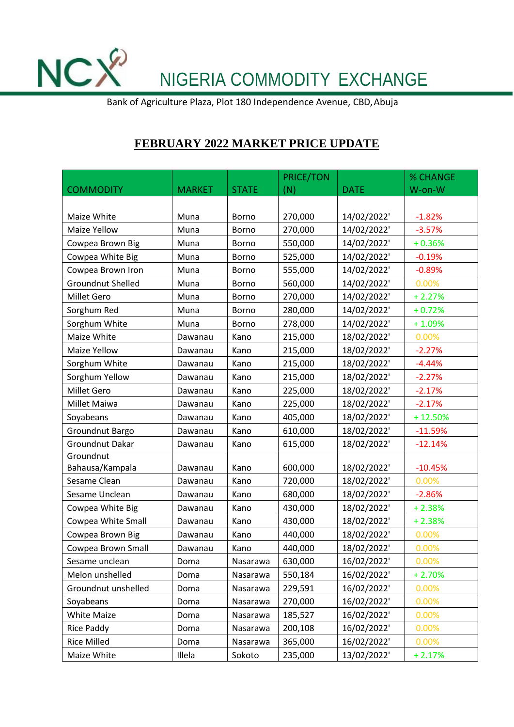NCX<sup>2</sup> NIGERIA COMMODITY EXCHANGE

Bank of Agriculture Plaza, Plot 180 Independence Avenue, CBD,Abuja

## **FEBRUARY 2022 MARKET PRICE UPDATE**

|                          |               |              | <b>PRICE/TON</b> |             | % CHANGE  |
|--------------------------|---------------|--------------|------------------|-------------|-----------|
| <b>COMMODITY</b>         | <b>MARKET</b> | <b>STATE</b> | (N)              | <b>DATE</b> | W-on-W    |
|                          |               |              |                  |             |           |
| Maize White              | Muna          | <b>Borno</b> | 270,000          | 14/02/2022' | $-1.82%$  |
| Maize Yellow             | Muna          | Borno        | 270,000          | 14/02/2022' | $-3.57%$  |
| Cowpea Brown Big         | Muna          | Borno        | 550,000          | 14/02/2022' | $+0.36%$  |
| Cowpea White Big         | Muna          | Borno        | 525,000          | 14/02/2022' | $-0.19%$  |
| Cowpea Brown Iron        | Muna          | <b>Borno</b> | 555,000          | 14/02/2022' | $-0.89%$  |
| <b>Groundnut Shelled</b> | Muna          | <b>Borno</b> | 560,000          | 14/02/2022' | 0.00%     |
| <b>Millet Gero</b>       | Muna          | Borno        | 270,000          | 14/02/2022' | $+2.27%$  |
| Sorghum Red              | Muna          | Borno        | 280,000          | 14/02/2022' | $+0.72%$  |
| Sorghum White            | Muna          | Borno        | 278,000          | 14/02/2022' | $+1.09%$  |
| Maize White              | Dawanau       | Kano         | 215,000          | 18/02/2022' | 0.00%     |
| Maize Yellow             | Dawanau       | Kano         | 215,000          | 18/02/2022' | $-2.27%$  |
| Sorghum White            | Dawanau       | Kano         | 215,000          | 18/02/2022' | $-4.44%$  |
| Sorghum Yellow           | Dawanau       | Kano         | 215,000          | 18/02/2022' | $-2.27%$  |
| Millet Gero              | Dawanau       | Kano         | 225,000          | 18/02/2022' | $-2.17%$  |
| Millet Maiwa             | Dawanau       | Kano         | 225,000          | 18/02/2022' | $-2.17%$  |
| Soyabeans                | Dawanau       | Kano         | 405,000          | 18/02/2022' | $+12.50%$ |
| Groundnut Bargo          | Dawanau       | Kano         | 610,000          | 18/02/2022' | $-11.59%$ |
| Groundnut Dakar          | Dawanau       | Kano         | 615,000          | 18/02/2022' | $-12.14%$ |
| Groundnut                |               |              |                  |             |           |
| Bahausa/Kampala          | Dawanau       | Kano         | 600,000          | 18/02/2022' | $-10.45%$ |
| Sesame Clean             | Dawanau       | Kano         | 720,000          | 18/02/2022' | 0.00%     |
| Sesame Unclean           | Dawanau       | Kano         | 680,000          | 18/02/2022' | $-2.86%$  |
| Cowpea White Big         | Dawanau       | Kano         | 430,000          | 18/02/2022' | $+2.38%$  |
| Cowpea White Small       | Dawanau       | Kano         | 430,000          | 18/02/2022' | $+2.38%$  |
| Cowpea Brown Big         | Dawanau       | Kano         | 440,000          | 18/02/2022' | 0.00%     |
| Cowpea Brown Small       | Dawanau       | Kano         | 440,000          | 18/02/2022' | 0.00%     |
| Sesame unclean           | Doma          | Nasarawa     | 630,000          | 16/02/2022' | 0.00%     |
| Melon unshelled          | Doma          | Nasarawa     | 550,184          | 16/02/2022' | $+2.70%$  |
| Groundnut unshelled      | Doma          | Nasarawa     | 229,591          | 16/02/2022' | 0.00%     |
| Soyabeans                | Doma          | Nasarawa     | 270,000          | 16/02/2022' | 0.00%     |
| <b>White Maize</b>       | Doma          | Nasarawa     | 185,527          | 16/02/2022' | 0.00%     |
| Rice Paddy               | Doma          | Nasarawa     | 200,108          | 16/02/2022' | 0.00%     |
| <b>Rice Milled</b>       | Doma          | Nasarawa     | 365,000          | 16/02/2022' | 0.00%     |
| Maize White              | Illela        | Sokoto       | 235,000          | 13/02/2022' | $+2.17%$  |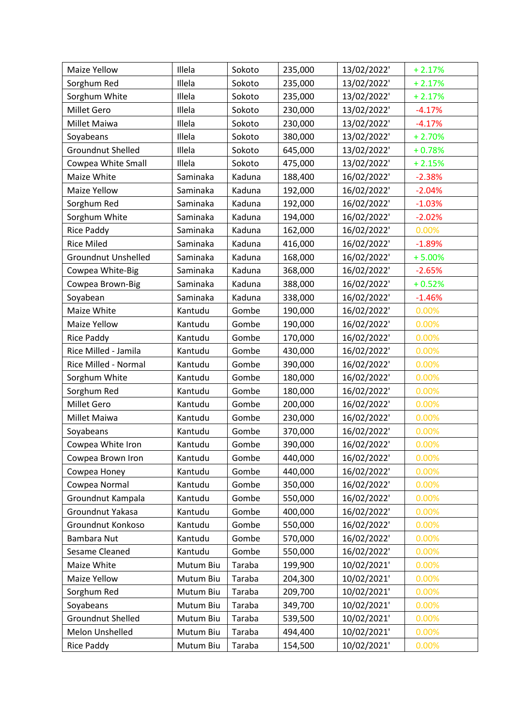| Maize Yellow               | Illela    | Sokoto | 235,000 | 13/02/2022' | $+2.17%$ |
|----------------------------|-----------|--------|---------|-------------|----------|
| Sorghum Red                | Illela    | Sokoto | 235,000 | 13/02/2022' | $+2.17%$ |
| Sorghum White              | Illela    | Sokoto | 235,000 | 13/02/2022' | $+2.17%$ |
| <b>Millet Gero</b>         | Illela    | Sokoto | 230,000 | 13/02/2022' | $-4.17%$ |
| Millet Maiwa               | Illela    | Sokoto | 230,000 | 13/02/2022' | $-4.17%$ |
| Soyabeans                  | Illela    | Sokoto | 380,000 | 13/02/2022' | $+2.70%$ |
| <b>Groundnut Shelled</b>   | Illela    | Sokoto | 645,000 | 13/02/2022' | $+0.78%$ |
| Cowpea White Small         | Illela    | Sokoto | 475,000 | 13/02/2022' | $+2.15%$ |
| Maize White                | Saminaka  | Kaduna | 188,400 | 16/02/2022' | $-2.38%$ |
| Maize Yellow               | Saminaka  | Kaduna | 192,000 | 16/02/2022' | $-2.04%$ |
| Sorghum Red                | Saminaka  | Kaduna | 192,000 | 16/02/2022' | $-1.03%$ |
| Sorghum White              | Saminaka  | Kaduna | 194,000 | 16/02/2022' | $-2.02%$ |
| <b>Rice Paddy</b>          | Saminaka  | Kaduna | 162,000 | 16/02/2022' | 0.00%    |
| <b>Rice Miled</b>          | Saminaka  | Kaduna | 416,000 | 16/02/2022' | $-1.89%$ |
| <b>Groundnut Unshelled</b> | Saminaka  | Kaduna | 168,000 | 16/02/2022' | $+5.00%$ |
| Cowpea White-Big           | Saminaka  | Kaduna | 368,000 | 16/02/2022' | $-2.65%$ |
| Cowpea Brown-Big           | Saminaka  | Kaduna | 388,000 | 16/02/2022' | $+0.52%$ |
| Soyabean                   | Saminaka  | Kaduna | 338,000 | 16/02/2022' | $-1.46%$ |
| Maize White                | Kantudu   | Gombe  | 190,000 | 16/02/2022' | 0.00%    |
| Maize Yellow               | Kantudu   | Gombe  | 190,000 | 16/02/2022' | 0.00%    |
| <b>Rice Paddy</b>          | Kantudu   | Gombe  | 170,000 | 16/02/2022' | 0.00%    |
| Rice Milled - Jamila       | Kantudu   | Gombe  | 430,000 | 16/02/2022' | 0.00%    |
| Rice Milled - Normal       | Kantudu   | Gombe  | 390,000 | 16/02/2022' | 0.00%    |
| Sorghum White              | Kantudu   | Gombe  | 180,000 | 16/02/2022' | 0.00%    |
| Sorghum Red                | Kantudu   | Gombe  | 180,000 | 16/02/2022' | 0.00%    |
| <b>Millet Gero</b>         | Kantudu   | Gombe  | 200,000 | 16/02/2022' | 0.00%    |
| Millet Maiwa               | Kantudu   | Gombe  | 230,000 | 16/02/2022' | 0.00%    |
| Soyabeans                  | Kantudu   | Gombe  | 370,000 | 16/02/2022' | 0.00%    |
| Cowpea White Iron          | Kantudu   | Gombe  | 390,000 | 16/02/2022' | 0.00%    |
| Cowpea Brown Iron          | Kantudu   | Gombe  | 440,000 | 16/02/2022' | 0.00%    |
| Cowpea Honey               | Kantudu   | Gombe  | 440,000 | 16/02/2022' | 0.00%    |
| Cowpea Normal              | Kantudu   | Gombe  | 350,000 | 16/02/2022' | 0.00%    |
| Groundnut Kampala          | Kantudu   | Gombe  | 550,000 | 16/02/2022' | 0.00%    |
| Groundnut Yakasa           | Kantudu   | Gombe  | 400,000 | 16/02/2022' | 0.00%    |
| Groundnut Konkoso          | Kantudu   | Gombe  | 550,000 | 16/02/2022' | 0.00%    |
| <b>Bambara Nut</b>         | Kantudu   | Gombe  | 570,000 | 16/02/2022' | 0.00%    |
| Sesame Cleaned             | Kantudu   | Gombe  | 550,000 | 16/02/2022' | 0.00%    |
| Maize White                | Mutum Biu | Taraba | 199,900 | 10/02/2021' | 0.00%    |
| Maize Yellow               | Mutum Biu | Taraba | 204,300 | 10/02/2021' | 0.00%    |
| Sorghum Red                | Mutum Biu | Taraba | 209,700 | 10/02/2021' | 0.00%    |
| Soyabeans                  | Mutum Biu | Taraba | 349,700 | 10/02/2021' | 0.00%    |
| Groundnut Shelled          | Mutum Biu | Taraba | 539,500 | 10/02/2021' | 0.00%    |
| Melon Unshelled            | Mutum Biu | Taraba | 494,400 | 10/02/2021' | 0.00%    |
| <b>Rice Paddy</b>          | Mutum Biu | Taraba | 154,500 | 10/02/2021' | 0.00%    |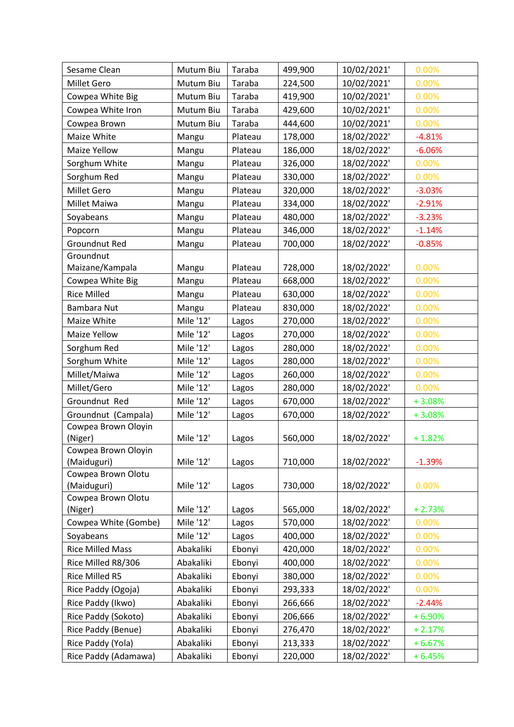| Sesame Clean                      | Mutum Biu | Taraba  | 499,900 | 10/02/2021' | 0.00%    |
|-----------------------------------|-----------|---------|---------|-------------|----------|
| Millet Gero                       | Mutum Biu | Taraba  | 224,500 | 10/02/2021' | 0.00%    |
| Cowpea White Big                  | Mutum Biu | Taraba  | 419,900 | 10/02/2021' | 0.00%    |
| Cowpea White Iron                 | Mutum Biu | Taraba  | 429,600 | 10/02/2021' | 0.00%    |
| Cowpea Brown                      | Mutum Biu | Taraba  | 444,600 | 10/02/2021' | 0.00%    |
| Maize White                       | Mangu     | Plateau | 178,000 | 18/02/2022' | $-4.81%$ |
| Maize Yellow                      | Mangu     | Plateau | 186,000 | 18/02/2022' | $-6.06%$ |
| Sorghum White                     | Mangu     | Plateau | 326,000 | 18/02/2022' | 0.00%    |
| Sorghum Red                       | Mangu     | Plateau | 330,000 | 18/02/2022' | 0.00%    |
| Millet Gero                       | Mangu     | Plateau | 320,000 | 18/02/2022' | $-3.03%$ |
| Millet Maiwa                      | Mangu     | Plateau | 334,000 | 18/02/2022' | $-2.91%$ |
| Soyabeans                         | Mangu     | Plateau | 480,000 | 18/02/2022' | $-3.23%$ |
| Popcorn                           | Mangu     | Plateau | 346,000 | 18/02/2022' | $-1.14%$ |
| <b>Groundnut Red</b>              | Mangu     | Plateau | 700,000 | 18/02/2022' | $-0.85%$ |
| Groundnut                         |           |         |         |             |          |
| Maizane/Kampala                   | Mangu     | Plateau | 728,000 | 18/02/2022' | 0.00%    |
| Cowpea White Big                  | Mangu     | Plateau | 668,000 | 18/02/2022' | 0.00%    |
| <b>Rice Milled</b>                | Mangu     | Plateau | 630,000 | 18/02/2022' | 0.00%    |
| Bambara Nut                       | Mangu     | Plateau | 830,000 | 18/02/2022' | 0.00%    |
| Maize White                       | Mile '12' | Lagos   | 270,000 | 18/02/2022' | 0.00%    |
| Maize Yellow                      | Mile '12' | Lagos   | 270,000 | 18/02/2022' | 0.00%    |
| Sorghum Red                       | Mile '12' | Lagos   | 280,000 | 18/02/2022' | 0.00%    |
| Sorghum White                     | Mile '12' | Lagos   | 280,000 | 18/02/2022' | 0.00%    |
| Millet/Maiwa                      | Mile '12' | Lagos   | 260,000 | 18/02/2022' | 0.00%    |
| Millet/Gero                       | Mile '12' | Lagos   | 280,000 | 18/02/2022' | 0.00%    |
| Groundnut Red                     | Mile '12' | Lagos   | 670,000 | 18/02/2022' | $+3.08%$ |
| Groundnut (Campala)               | Mile '12' | Lagos   | 670,000 | 18/02/2022' | $+3.08%$ |
| Cowpea Brown Oloyin               |           |         |         |             |          |
| (Niger)                           | Mile '12' | Lagos   | 560,000 | 18/02/2022' | $+1.82%$ |
| Cowpea Brown Oloyin               |           |         |         |             |          |
| (Maiduguri)<br>Cowpea Brown Olotu | Mile '12' | Lagos   | 710,000 | 18/02/2022' | $-1.39%$ |
| (Maiduguri)                       | Mile '12' | Lagos   | 730,000 | 18/02/2022' | 0.00%    |
| Cowpea Brown Olotu                |           |         |         |             |          |
| (Niger)                           | Mile '12' | Lagos   | 565,000 | 18/02/2022' | $+2.73%$ |
| Cowpea White (Gombe)              | Mile '12' | Lagos   | 570,000 | 18/02/2022' | 0.00%    |
| Soyabeans                         | Mile '12' | Lagos   | 400,000 | 18/02/2022' | 0.00%    |
| <b>Rice Milled Mass</b>           | Abakaliki | Ebonyi  | 420,000 | 18/02/2022' | 0.00%    |
| Rice Milled R8/306                | Abakaliki | Ebonyi  | 400,000 | 18/02/2022' | 0.00%    |
| Rice Milled R5                    | Abakaliki | Ebonyi  | 380,000 | 18/02/2022' | 0.00%    |
| Rice Paddy (Ogoja)                | Abakaliki | Ebonyi  | 293,333 | 18/02/2022' | 0.00%    |
| Rice Paddy (Ikwo)                 | Abakaliki | Ebonyi  | 266,666 | 18/02/2022' | $-2.44%$ |
| Rice Paddy (Sokoto)               | Abakaliki | Ebonyi  | 206,666 | 18/02/2022' | $+6.90%$ |
| Rice Paddy (Benue)                | Abakaliki | Ebonyi  | 276,470 | 18/02/2022' | $+2.17%$ |
| Rice Paddy (Yola)                 | Abakaliki | Ebonyi  | 213,333 | 18/02/2022' | $+6.67%$ |
| Rice Paddy (Adamawa)              | Abakaliki | Ebonyi  | 220,000 | 18/02/2022' | $+6.45%$ |